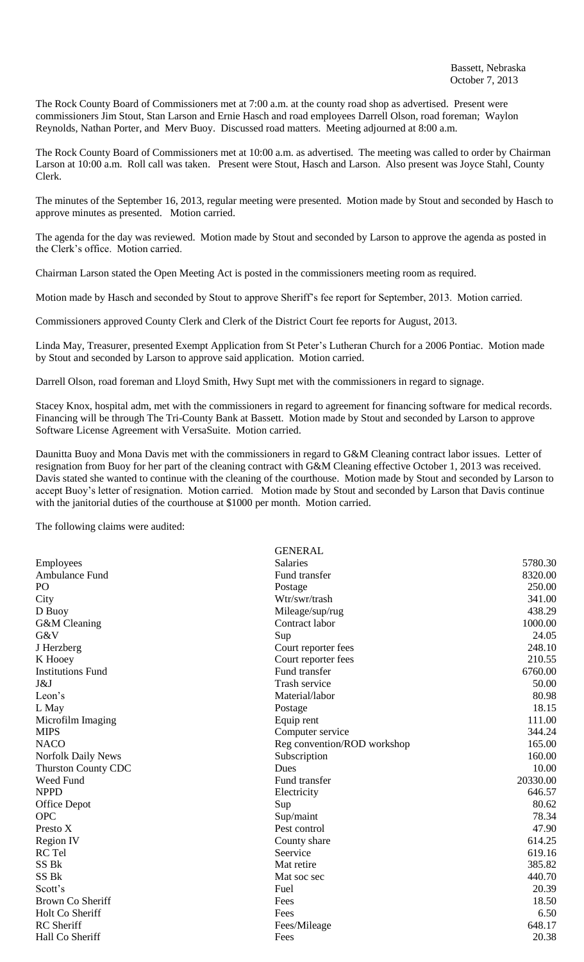The Rock County Board of Commissioners met at 7:00 a.m. at the county road shop as advertised. Present were commissioners Jim Stout, Stan Larson and Ernie Hasch and road employees Darrell Olson, road foreman; Waylon Reynolds, Nathan Porter, and Merv Buoy. Discussed road matters. Meeting adjourned at 8:00 a.m.

The Rock County Board of Commissioners met at 10:00 a.m. as advertised. The meeting was called to order by Chairman Larson at 10:00 a.m. Roll call was taken. Present were Stout, Hasch and Larson. Also present was Joyce Stahl, County Clerk.

The minutes of the September 16, 2013, regular meeting were presented. Motion made by Stout and seconded by Hasch to approve minutes as presented. Motion carried.

The agenda for the day was reviewed. Motion made by Stout and seconded by Larson to approve the agenda as posted in the Clerk's office. Motion carried.

Chairman Larson stated the Open Meeting Act is posted in the commissioners meeting room as required.

Motion made by Hasch and seconded by Stout to approve Sheriff's fee report for September, 2013. Motion carried.

Commissioners approved County Clerk and Clerk of the District Court fee reports for August, 2013.

Linda May, Treasurer, presented Exempt Application from St Peter's Lutheran Church for a 2006 Pontiac. Motion made by Stout and seconded by Larson to approve said application. Motion carried.

Darrell Olson, road foreman and Lloyd Smith, Hwy Supt met with the commissioners in regard to signage.

Stacey Knox, hospital adm, met with the commissioners in regard to agreement for financing software for medical records. Financing will be through The Tri-County Bank at Bassett. Motion made by Stout and seconded by Larson to approve Software License Agreement with VersaSuite. Motion carried.

Daunitta Buoy and Mona Davis met with the commissioners in regard to G&M Cleaning contract labor issues. Letter of resignation from Buoy for her part of the cleaning contract with G&M Cleaning effective October 1, 2013 was received. Davis stated she wanted to continue with the cleaning of the courthouse. Motion made by Stout and seconded by Larson to accept Buoy's letter of resignation. Motion carried. Motion made by Stout and seconded by Larson that Davis continue with the janitorial duties of the courthouse at \$1000 per month. Motion carried.

The following claims were audited:

|                            | <b>GENERAL</b>              |          |
|----------------------------|-----------------------------|----------|
| Employees                  | <b>Salaries</b>             | 5780.30  |
| Ambulance Fund             | Fund transfer               | 8320.00  |
| P <sub>O</sub>             | Postage                     | 250.00   |
| City                       | Wtr/swr/trash               | 341.00   |
| D Buoy                     | Mileage/sup/rug             | 438.29   |
| G&M Cleaning               | Contract labor              | 1000.00  |
| G&V                        | Sup                         | 24.05    |
| J Herzberg                 | Court reporter fees         | 248.10   |
| K Hooey                    | Court reporter fees         | 210.55   |
| <b>Institutions Fund</b>   | Fund transfer               | 6760.00  |
| J&J                        | Trash service               | 50.00    |
| Leon's                     | Material/labor              | 80.98    |
| L May                      | Postage                     | 18.15    |
| Microfilm Imaging          | Equip rent                  | 111.00   |
| <b>MIPS</b>                | Computer service            | 344.24   |
| <b>NACO</b>                | Reg convention/ROD workshop | 165.00   |
| <b>Norfolk Daily News</b>  | Subscription                | 160.00   |
| <b>Thurston County CDC</b> | Dues                        | 10.00    |
| Weed Fund                  | Fund transfer               | 20330.00 |
| <b>NPPD</b>                | Electricity                 | 646.57   |
| Office Depot               | Sup                         | 80.62    |
| <b>OPC</b>                 | Sup/maint                   | 78.34    |
| Presto X                   | Pest control                | 47.90    |
| <b>Region IV</b>           | County share                | 614.25   |
| RC Tel                     | Seervice                    | 619.16   |
| SS <sub>Bk</sub>           | Mat retire                  | 385.82   |
| SS <sub>Bk</sub>           | Mat soc sec                 | 440.70   |
| Scott's                    | Fuel                        | 20.39    |
| Brown Co Sheriff           | Fees                        | 18.50    |
| Holt Co Sheriff            | Fees                        | 6.50     |
| <b>RC</b> Sheriff          | Fees/Mileage                | 648.17   |
| Hall Co Sheriff            | Fees                        | 20.38    |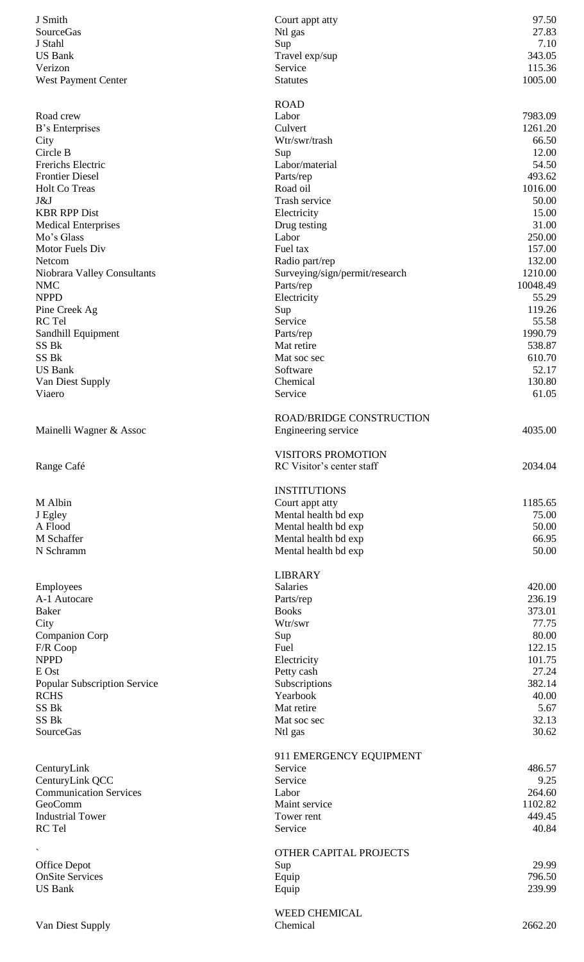| J Smith                             | Court appt atty                 | 97.50    |
|-------------------------------------|---------------------------------|----------|
| SourceGas                           | Ntl gas                         | 27.83    |
| J Stahl                             | Sup                             | 7.10     |
| <b>US Bank</b>                      | Travel exp/sup                  | 343.05   |
| Verizon                             | Service                         | 115.36   |
| West Payment Center                 | <b>Statutes</b>                 | 1005.00  |
|                                     |                                 |          |
|                                     | <b>ROAD</b>                     |          |
| Road crew                           | Labor                           | 7983.09  |
| B's Enterprises                     | Culvert                         | 1261.20  |
| City                                | Wtr/swr/trash                   | 66.50    |
| Circle B                            | Sup                             | 12.00    |
| Frerichs Electric                   | Labor/material                  | 54.50    |
| <b>Frontier Diesel</b>              | Parts/rep                       | 493.62   |
| <b>Holt Co Treas</b>                | Road oil                        | 1016.00  |
|                                     |                                 |          |
| J&J                                 | Trash service                   | 50.00    |
| <b>KBR RPP Dist</b>                 | Electricity                     | 15.00    |
| <b>Medical Enterprises</b>          | Drug testing                    | 31.00    |
| Mo's Glass                          | Labor                           | 250.00   |
| Motor Fuels Div                     | Fuel tax                        | 157.00   |
| Netcom                              | Radio part/rep                  | 132.00   |
| Niobrara Valley Consultants         | Surveying/sign/permit/research  | 1210.00  |
| <b>NMC</b>                          | Parts/rep                       | 10048.49 |
|                                     |                                 |          |
| <b>NPPD</b>                         | Electricity                     | 55.29    |
| Pine Creek Ag                       | Sup                             | 119.26   |
| RC Tel                              | Service                         | 55.58    |
| Sandhill Equipment                  | Parts/rep                       | 1990.79  |
| SS Bk                               | Mat retire                      | 538.87   |
| SS Bk                               | Mat soc sec                     | 610.70   |
| <b>US Bank</b>                      | Software                        | 52.17    |
| Van Diest Supply                    | Chemical                        | 130.80   |
| Viaero                              | Service                         | 61.05    |
|                                     |                                 |          |
|                                     | <b>ROAD/BRIDGE CONSTRUCTION</b> |          |
|                                     |                                 | 4035.00  |
| Mainelli Wagner & Assoc             | Engineering service             |          |
|                                     |                                 |          |
|                                     | <b>VISITORS PROMOTION</b>       |          |
| Range Café                          | RC Visitor's center staff       | 2034.04  |
|                                     |                                 |          |
|                                     | <b>INSTITUTIONS</b>             |          |
| M Albin                             | Court appt atty                 | 1185.65  |
| J Egley                             | Mental health bd exp            | 75.00    |
| A Flood                             |                                 |          |
|                                     | Mental health bd exp            | 50.00    |
| M Schaffer                          | Mental health bd exp            | 66.95    |
| N Schramm                           | Mental health bd exp            | 50.00    |
|                                     |                                 |          |
|                                     | <b>LIBRARY</b>                  |          |
| Employees                           | Salaries                        | 420.00   |
| A-1 Autocare                        | Parts/rep                       | 236.19   |
| <b>Baker</b>                        | <b>Books</b>                    | 373.01   |
| City                                | Wtr/swr                         | 77.75    |
| <b>Companion Corp</b>               | Sup                             | 80.00    |
| F/R Coop                            | Fuel                            | 122.15   |
| <b>NPPD</b>                         |                                 |          |
|                                     | Electricity                     | 101.75   |
| E Ost                               | Petty cash                      | 27.24    |
| <b>Popular Subscription Service</b> | Subscriptions                   | 382.14   |
| <b>RCHS</b>                         | Yearbook                        | 40.00    |
| SS Bk                               | Mat retire                      | 5.67     |
| SS Bk                               | Mat soc sec                     | 32.13    |
| SourceGas                           | Ntl gas                         | 30.62    |
|                                     |                                 |          |
|                                     | 911 EMERGENCY EQUIPMENT         |          |
| CenturyLink                         | Service                         | 486.57   |
| CenturyLink QCC                     | Service                         | 9.25     |
| <b>Communication Services</b>       |                                 | 264.60   |
|                                     | Labor                           |          |
| GeoComm                             | Maint service                   | 1102.82  |
| <b>Industrial Tower</b>             | Tower rent                      | 449.45   |
| RC Tel                              | Service                         | 40.84    |
|                                     |                                 |          |
|                                     | <b>OTHER CAPITAL PROJECTS</b>   |          |
| Office Depot                        | Sup                             | 29.99    |
| <b>OnSite Services</b>              | Equip                           | 796.50   |
| <b>US Bank</b>                      | Equip                           | 239.99   |
|                                     |                                 |          |
|                                     | WEED CHEMICAL                   |          |
|                                     |                                 |          |
| Van Diest Supply                    | Chemical                        | 2662.20  |